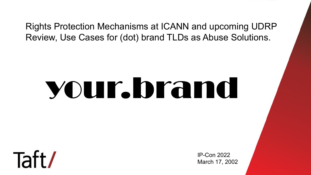#### Rights Protection Mechanisms at ICANN and upcoming UDRP Review, Use Cases for (dot) brand TLDs as Abuse Solutions.

# your.brand



IP-Con 2022 March 17, 2002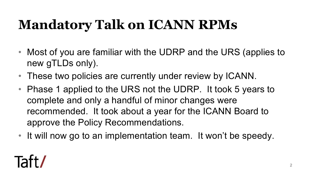### **Mandatory Talk on ICANN RPMs**

- Most of you are familiar with the UDRP and the URS (applies to new gTLDs only).
- These two policies are currently under review by ICANN.
- Phase 1 applied to the URS not the UDRP. It took 5 years to complete and only a handful of minor changes were recommended. It took about a year for the ICANN Board to approve the Policy Recommendations.
- It will now go to an implementation team. It won't be speedy.

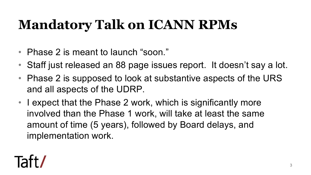#### **Mandatory Talk on ICANN RPMs**

- Phase 2 is meant to launch "soon."
- Staff just released an 88 page issues report. It doesn't say a lot.
- Phase 2 is supposed to look at substantive aspects of the URS and all aspects of the UDRP.
- I expect that the Phase 2 work, which is significantly more involved than the Phase 1 work, will take at least the same amount of time (5 years), followed by Board delays, and implementation work.

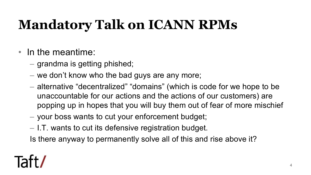### **Mandatory Talk on ICANN RPMs**

- In the meantime:
	- grandma is getting phished;
	- we don't know who the bad guys are any more;
	- alternative "decentralized" "domains" (which is code for we hope to be unaccountable for our actions and the actions of our customers) are popping up in hopes that you will buy them out of fear of more mischief
	- your boss wants to cut your enforcement budget;
	- I.T. wants to cut its defensive registration budget.

Is there anyway to permanently solve all of this and rise above it?

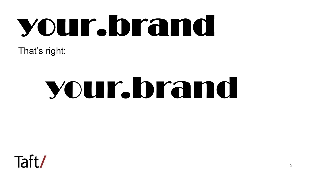# your.brand

That's right:

# your.brand

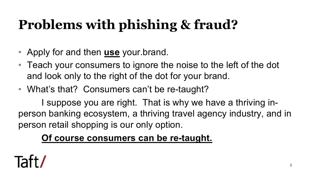## **Problems with phishing & fraud?**

- Apply for and then **use** your.brand.
- Teach your consumers to ignore the noise to the left of the dot and look only to the right of the dot for your brand.
- What's that? Consumers can't be re-taught?

I suppose you are right. That is why we have a thriving inperson banking ecosystem, a thriving travel agency industry, and in person retail shopping is our only option.

#### **Of course consumers can be re-taught.**

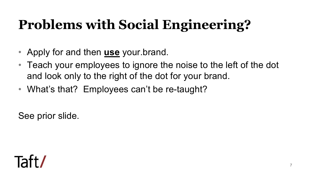### **Problems with Social Engineering?**

- Apply for and then **use** your.brand.
- Teach your employees to ignore the noise to the left of the dot and look only to the right of the dot for your brand.
- What's that? Employees can't be re-taught?

See prior slide.

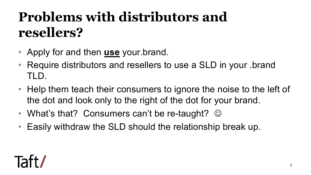### **Problems with distributors and resellers?**

- Apply for and then **use** your.brand.
- Require distributors and resellers to use a SLD in your .brand TLD.
- Help them teach their consumers to ignore the noise to the left of the dot and look only to the right of the dot for your brand.
- What's that? Consumers can't be re-taught?  $\odot$
- Easily withdraw the SLD should the relationship break up.

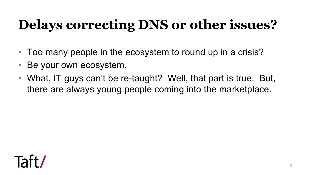### **Delays correcting DNS or other issues?**

- Too many people in the ecosystem to round up in a crisis?
- Be your own ecosystem.
- What, IT guys can't be re-taught? Well, that part is true. But, there are always young people coming into the marketplace.

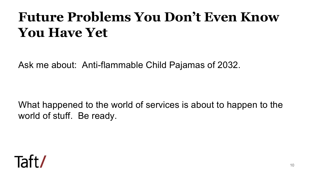#### **Future Problems You Don't Even Know You Have Yet**

Ask me about: Anti-flammable Child Pajamas of 2032.

What happened to the world of services is about to happen to the world of stuff. Be ready.

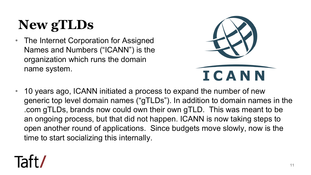## **New gTLDs**

• The Internet Corporation for Assigned Names and Numbers ("ICANN") is the organization which runs the domain name system.



• 10 years ago, ICANN initiated a process to expand the number of new generic top level domain names ("gTLDs"). In addition to domain names in the .com gTLDs, brands now could own their own gTLD. This was meant to be an ongoing process, but that did not happen. ICANN is now taking steps to open another round of applications. Since budgets move slowly, now is the time to start socializing this internally.

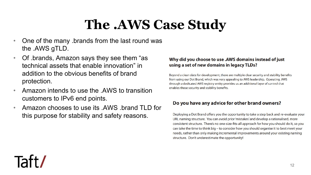#### **The .AWS Case Study**

- One of the many .brands from the last round was the .AWS gTLD.
- Of .brands, Amazon says they see them "as technical assets that enable innovation" in addition to the obvious benefits of brand protection.
- Amazon intends to use the .AWS to transition customers to IPv6 end points.
- Amazon chooses to use its .AWS .brand TLD for this purpose for stability and safety reasons.

#### Why did you choose to use .AWS domains instead of just using a set of new domains in legacy TLDs?

Beyond a clean slate for development, there are multiple clear security and stability benefits from using our Dot Brand, which was very appealing to AWS leadership. Operating .AWS through a dedicated AWS registry entity provides us an additional layer of control that enables those security and stability benefits.

#### Do you have any advice for other brand owners?

Deploying a Dot Brand offers you the opportunity to take a step back and re-evaluate your URL naming structure. You can avoid prior 'mistakes' and develop a rationalised, more consistent structure. There's no one-size-fits-all approach for how you should do it, so you can take the time to think big - to consider how you should organise it to best meet your needs, rather than only making incremental improvements around your existing naming structure. Don't underestimate the opportunity!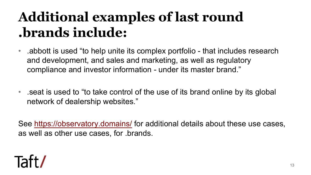### **Additional examples of last .b[rands include:](https://observatory.domains/)**

- Abbott is used "to help unite its complex portfolio and development, and sales and marketing, as we compliance and investor information - under its ma
- eat is used to "to take control of the use of its brand seat is used to "to take control of the use of its bra network of dealership websites."

See https://observatory.domains/ for additional details as well as other use cases, for .brands.

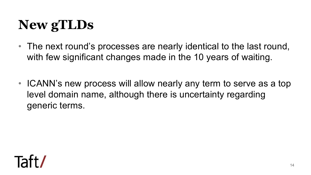### **New gTLDs**

- The next round's processes are nearly identical to the last round, with few significant changes made in the 10 years of waiting.
- ICANN's new process will allow nearly any term to serve as a top level domain name, although there is uncertainty regarding generic terms.

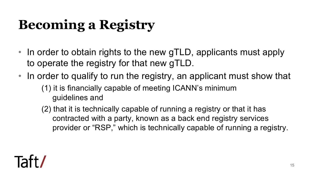## **Becoming a Registry**

- In order to obtain rights to the new gTLD, applicants must apply to operate the registry for that new gTLD.
- In order to qualify to run the registry, an applicant must show that (1) it is financially capable of meeting ICANN's minimum guidelines and
	- (2) that it is technically capable of running a registry or that it has contracted with a party, known as a back end registry services provider or "RSP," which is technically capable of running a registry.

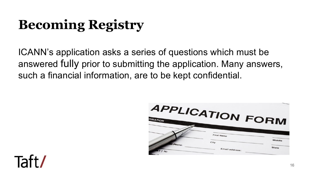### **Becoming Registry**

ICANN's application asks a series of questions which must be answered fully prior to submitting the application. Many answers, such a financial information, are to be kept confidential.



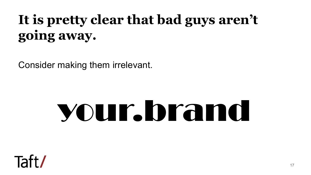### **It is pretty clear that bad guys aren't going away.**

Consider making them irrelevant.

## your.brand